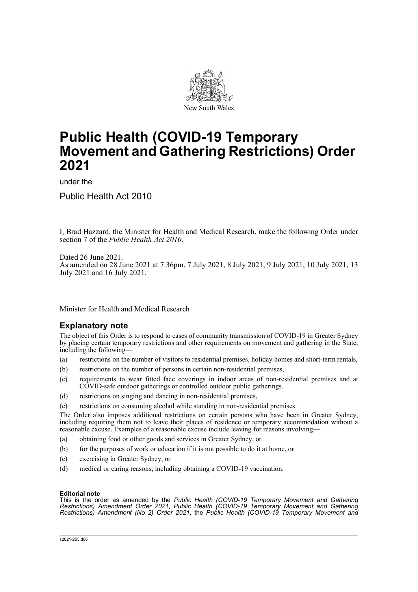

# **Public Health (COVID-19 Temporary Movement and Gathering Restrictions) Order 2021**

under the

Public Health Act 2010

I, Brad Hazzard, the Minister for Health and Medical Research, make the following Order under section 7 of the *Public Health Act 2010*.

Dated 26 June 2021. As amended on 28 June 2021 at 7:36pm, 7 July 2021, 8 July 2021, 9 July 2021, 10 July 2021, 13 July 2021 and 16 July 2021.

Minister for Health and Medical Research

## **Explanatory note**

The object of this Order is to respond to cases of community transmission of COVID-19 in Greater Sydney by placing certain temporary restrictions and other requirements on movement and gathering in the State, including the following—

- (a) restrictions on the number of visitors to residential premises, holiday homes and short-term rentals,
- (b) restrictions on the number of persons in certain non-residential premises,
- (c) requirements to wear fitted face coverings in indoor areas of non-residential premises and at COVID-safe outdoor gatherings or controlled outdoor public gatherings.
- (d) restrictions on singing and dancing in non-residential premises,
- (e) restrictions on consuming alcohol while standing in non-residential premises.

The Order also imposes additional restrictions on certain persons who have been in Greater Sydney, including requiring them not to leave their places of residence or temporary accommodation without a reasonable excuse. Examples of a reasonable excuse include leaving for reasons involving—

- (a) obtaining food or other goods and services in Greater Sydney, or
- (b) for the purposes of work or education if it is not possible to do it at home, or
- (c) exercising in Greater Sydney, or
- (d) medical or caring reasons, including obtaining a COVID-19 vaccination.

#### **Editorial note**

This is the order as amended by the *Public Health (COVID-19 Temporary Movement and Gathering Restrictions) Amendment Order 2021*, *Public Health (COVID-19 Temporary Movement and Gathering Restrictions) Amendment (No 2) Order 2021*, the *Public Health (COVID-19 Temporary Movement and*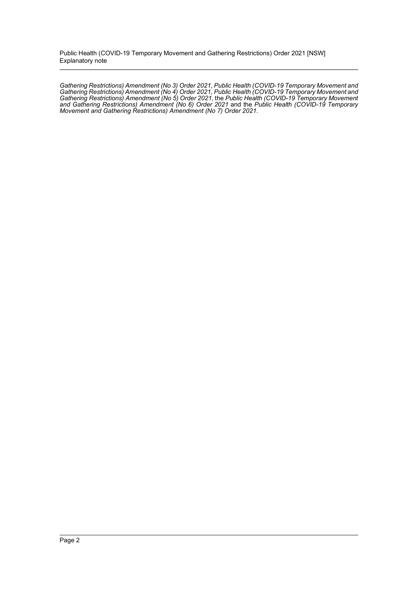Public Health (COVID-19 Temporary Movement and Gathering Restrictions) Order 2021 [NSW] Explanatory note

*Gathering Restrictions) Amendment (No 3) Order 2021*, *Public Health (COVID-19 Temporary Movement and Gathering Restrictions) Amendment (No 4) Order 2021*, *Public Health (COVID-19 Temporary Movement and Gathering Restrictions) Amendment (No 5) Order 2021*, the *Public Health (COVID-19 Temporary Movement and Gathering Restrictions) Amendment (No 6) Order 2021* and the *Public Health (COVID-19 Temporary Movement and Gathering Restrictions) Amendment (No 7) Order 2021*.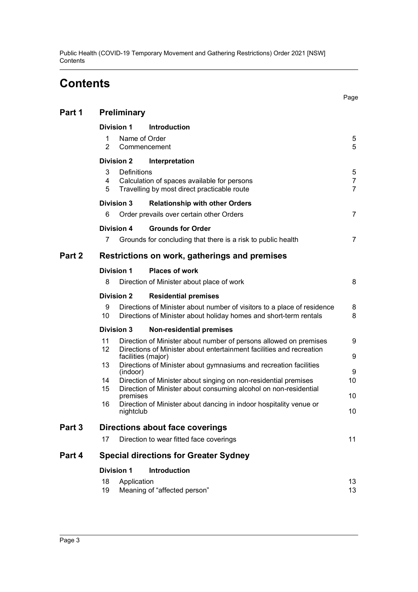Public Health (COVID-19 Temporary Movement and Gathering Restrictions) Order 2021 [NSW] **Contents** 

# **Contents**

|        |                                                                                                                                                                                      | Page                                  |
|--------|--------------------------------------------------------------------------------------------------------------------------------------------------------------------------------------|---------------------------------------|
| Part 1 | Preliminary                                                                                                                                                                          |                                       |
|        | <b>Division 1</b><br><b>Introduction</b>                                                                                                                                             |                                       |
|        | Name of Order<br>1<br>$\overline{2}$<br>Commencement                                                                                                                                 | 5<br>5                                |
|        | <b>Division 2</b><br>Interpretation                                                                                                                                                  |                                       |
|        | 3<br><b>Definitions</b><br>4<br>Calculation of spaces available for persons<br>5<br>Travelling by most direct practicable route                                                      | 5<br>$\overline{7}$<br>$\overline{7}$ |
|        | <b>Division 3</b><br><b>Relationship with other Orders</b>                                                                                                                           |                                       |
|        | 6<br>Order prevails over certain other Orders                                                                                                                                        | $\overline{7}$                        |
|        | <b>Grounds for Order</b><br>Division 4                                                                                                                                               |                                       |
|        | 7<br>Grounds for concluding that there is a risk to public health                                                                                                                    | $\overline{7}$                        |
| Part 2 | Restrictions on work, gatherings and premises                                                                                                                                        |                                       |
|        | <b>Division 1</b><br><b>Places of work</b>                                                                                                                                           |                                       |
|        | 8<br>Direction of Minister about place of work                                                                                                                                       | 8                                     |
|        | <b>Division 2</b><br><b>Residential premises</b>                                                                                                                                     |                                       |
|        | 9<br>Directions of Minister about number of visitors to a place of residence<br>10<br>Directions of Minister about holiday homes and short-term rentals                              | 8<br>8                                |
|        | <b>Division 3</b><br><b>Non-residential premises</b>                                                                                                                                 |                                       |
|        | 11<br>Direction of Minister about number of persons allowed on premises<br>12<br>Directions of Minister about entertainment facilities and recreation                                | 9<br>9                                |
|        | 13<br>Directions of Minister about gymnasiums and recreation facilities                                                                                                              | 9                                     |
|        | 14<br>Direction of Minister about singing on non-residential premises                                                                                                                | 10                                    |
|        | premises                                                                                                                                                                             | 10                                    |
|        | facilities (major)<br>(indoor)<br>15<br>Direction of Minister about consuming alcohol on non-residential<br>Direction of Minister about dancing in indoor hospitality venue or<br>16 |                                       |

Page

## [nightclub](#page-9-2) 10 **[Part 3 Directions about face coverings](#page-10-0)**

| Direction to wear fitted face coverings |  |
|-----------------------------------------|--|

## **[Part 4 Special directions for Greater Sydney](#page-12-0)**

## **[Division 1 Introduction](#page-12-1)**

|    | 18 Application               |  |
|----|------------------------------|--|
| 19 | Meaning of "affected person" |  |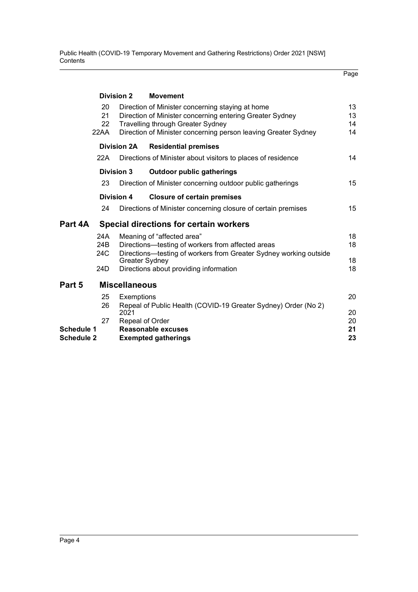Public Health (COVID-19 Temporary Movement and Gathering Restrictions) Order 2021 [NSW] Contents

|                                              |                        |                                                                                                                                                      |                                                                                                                                                                                                                            | Page                 |
|----------------------------------------------|------------------------|------------------------------------------------------------------------------------------------------------------------------------------------------|----------------------------------------------------------------------------------------------------------------------------------------------------------------------------------------------------------------------------|----------------------|
|                                              |                        | <b>Division 2</b>                                                                                                                                    | <b>Movement</b>                                                                                                                                                                                                            |                      |
|                                              | 20<br>21<br>22<br>22AA |                                                                                                                                                      | Direction of Minister concerning staying at home<br>Direction of Minister concerning entering Greater Sydney<br><b>Travelling through Greater Sydney</b><br>Direction of Minister concerning person leaving Greater Sydney | 13<br>13<br>14<br>14 |
|                                              |                        | <b>Division 2A</b>                                                                                                                                   | <b>Residential premises</b>                                                                                                                                                                                                |                      |
|                                              | 22A                    |                                                                                                                                                      | Directions of Minister about visitors to places of residence                                                                                                                                                               | 14                   |
| <b>Division 3</b>                            |                        |                                                                                                                                                      | <b>Outdoor public gatherings</b>                                                                                                                                                                                           |                      |
|                                              | 23                     |                                                                                                                                                      | Direction of Minister concerning outdoor public gatherings                                                                                                                                                                 | 15                   |
|                                              |                        | <b>Division 4</b>                                                                                                                                    | <b>Closure of certain premises</b>                                                                                                                                                                                         |                      |
|                                              | 24                     |                                                                                                                                                      | Directions of Minister concerning closure of certain premises                                                                                                                                                              | 15                   |
| Part 4A                                      |                        |                                                                                                                                                      | <b>Special directions for certain workers</b>                                                                                                                                                                              |                      |
|                                              | 24A<br>24B<br>24C      | Meaning of "affected area"<br>Directions-testing of workers from affected areas<br>Directions—testing of workers from Greater Sydney working outside |                                                                                                                                                                                                                            | 18<br>18             |
| <b>Greater Sydney</b>                        |                        |                                                                                                                                                      |                                                                                                                                                                                                                            | 18<br>18             |
|                                              | 24D                    |                                                                                                                                                      | Directions about providing information                                                                                                                                                                                     |                      |
| Part 5                                       |                        | <b>Miscellaneous</b>                                                                                                                                 |                                                                                                                                                                                                                            |                      |
|                                              | 25<br>26               | Exemptions<br>2021                                                                                                                                   | Repeal of Public Health (COVID-19 Greater Sydney) Order (No 2)                                                                                                                                                             | 20<br>20             |
| 27<br><b>Schedule 1</b><br><b>Schedule 2</b> |                        | Repeal of Order                                                                                                                                      | <b>Reasonable excuses</b><br><b>Exempted gatherings</b>                                                                                                                                                                    | 20<br>21<br>23       |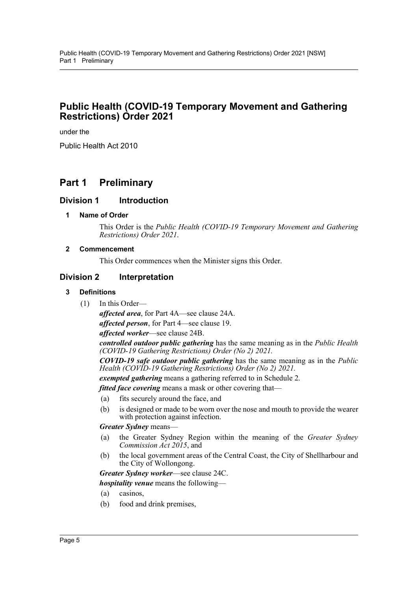## **Public Health (COVID-19 Temporary Movement and Gathering Restrictions) Order 2021**

under the

Public Health Act 2010

## <span id="page-4-0"></span>**Part 1 Preliminary**

## <span id="page-4-2"></span><span id="page-4-1"></span>**Division 1 Introduction**

#### **1 Name of Order**

This Order is the *Public Health (COVID-19 Temporary Movement and Gathering Restrictions) Order 2021*.

#### <span id="page-4-3"></span>**2 Commencement**

This Order commences when the Minister signs this Order.

## <span id="page-4-5"></span><span id="page-4-4"></span>**Division 2 Interpretation**

#### **3 Definitions**

(1) In this Order—

*affected area*, for Part 4A—see clause 24A. *affected person*, for Part 4—see clause 19. *affected worker*—see clause 24B.

*controlled outdoor public gathering* has the same meaning as in the *Public Health (COVID-19 Gathering Restrictions) Order (No 2) 2021.*

*COVID-19 safe outdoor public gathering* has the same meaning as in the *Public Health (COVID-19 Gathering Restrictions) Order (No 2) 2021.*

*exempted gathering* means a gathering referred to in Schedule 2.

*fitted face covering* means a mask or other covering that—

- (a) fits securely around the face, and
- (b) is designed or made to be worn over the nose and mouth to provide the wearer with protection against infection.

#### *Greater Sydney* means—

- (a) the Greater Sydney Region within the meaning of the *Greater Sydney Commission Act 2015*, and
- (b) the local government areas of the Central Coast, the City of Shellharbour and the City of Wollongong.

*Greater Sydney worker*—see clause 24C.

*hospitality venue* means the following—

- (a) casinos,
- (b) food and drink premises,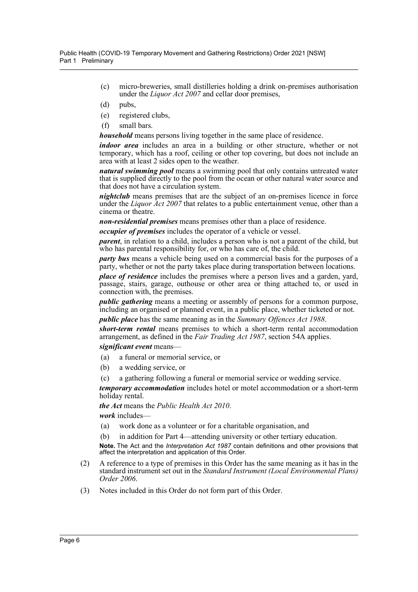- (c) micro-breweries, small distilleries holding a drink on-premises authorisation under the *Liquor Act 2007* and cellar door premises,
- (d) pubs,
- (e) registered clubs,
- (f) small bars.

*household* means persons living together in the same place of residence.

*indoor area* includes an area in a building or other structure, whether or not temporary, which has a roof, ceiling or other top covering, but does not include an area with at least 2 sides open to the weather.

*natural swimming pool* means a swimming pool that only contains untreated water that is supplied directly to the pool from the ocean or other natural water source and that does not have a circulation system.

*nightclub* means premises that are the subject of an on-premises licence in force under the *Liquor Act 2007* that relates to a public entertainment venue, other than a cinema or theatre.

*non-residential premises* means premises other than a place of residence.

*occupier of premises* includes the operator of a vehicle or vessel.

*parent*, in relation to a child, includes a person who is not a parent of the child, but who has parental responsibility for, or who has care of, the child.

*party bus* means a vehicle being used on a commercial basis for the purposes of a party, whether or not the party takes place during transportation between locations.

*place of residence* includes the premises where a person lives and a garden, yard, passage, stairs, garage, outhouse or other area or thing attached to, or used in connection with, the premises.

*public gathering* means a meeting or assembly of persons for a common purpose, including an organised or planned event, in a public place, whether ticketed or not.

*public place* has the same meaning as in the *Summary Offences Act 1988*.

*short-term rental* means premises to which a short-term rental accommodation arrangement, as defined in the *Fair Trading Act 1987*, section 54A applies.

## *significant event* means—

- (a) a funeral or memorial service, or
- (b) a wedding service, or
- (c) a gathering following a funeral or memorial service or wedding service.

*temporary accommodation* includes hotel or motel accommodation or a short-term holiday rental.

*the Act* means the *Public Health Act 2010*. *work* includes—

- (a) work done as a volunteer or for a charitable organisation, and
- (b) in addition for Part 4—attending university or other tertiary education.

**Note.** The Act and the *Interpretation Act 1987* contain definitions and other provisions that affect the interpretation and application of this Order.

- (2) A reference to a type of premises in this Order has the same meaning as it has in the standard instrument set out in the *Standard Instrument (Local Environmental Plans) Order 2006*.
- (3) Notes included in this Order do not form part of this Order.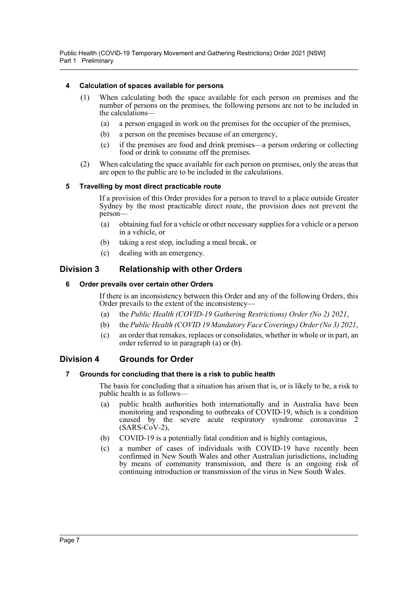Public Health (COVID-19 Temporary Movement and Gathering Restrictions) Order 2021 [NSW] Part 1 Preliminary

#### <span id="page-6-0"></span>**4 Calculation of spaces available for persons**

- (1) When calculating both the space available for each person on premises and the number of persons on the premises, the following persons are not to be included in the calculations—
	- (a) a person engaged in work on the premises for the occupier of the premises,
	- (b) a person on the premises because of an emergency,
	- (c) if the premises are food and drink premises—a person ordering or collecting food or drink to consume off the premises.
- (2) When calculating the space available for each person on premises, only the areas that are open to the public are to be included in the calculations.

#### <span id="page-6-1"></span>**5 Travelling by most direct practicable route**

If a provision of this Order provides for a person to travel to a place outside Greater Sydney by the most practicable direct route, the provision does not prevent the person—

- (a) obtaining fuel for a vehicle or other necessary supplies for a vehicle or a person in a vehicle, or
- (b) taking a rest stop, including a meal break, or
- (c) dealing with an emergency.

## <span id="page-6-3"></span><span id="page-6-2"></span>**Division 3 Relationship with other Orders**

#### **6 Order prevails over certain other Orders**

If there is an inconsistency between this Order and any of the following Orders, this Order prevails to the extent of the inconsistency—

- (a) the *Public Health (COVID-19 Gathering Restrictions) Order (No 2) 2021*,
- (b) the *Public Health (COVID 19 Mandatory Face Coverings) Order (No 3) 2021*,
- (c) an order that remakes, replaces or consolidates, whether in whole or in part, an order referred to in paragraph (a) or (b).

## <span id="page-6-5"></span><span id="page-6-4"></span>**Division 4 Grounds for Order**

#### **7 Grounds for concluding that there is a risk to public health**

The basis for concluding that a situation has arisen that is, or is likely to be, a risk to public health is as follows—

- (a) public health authorities both internationally and in Australia have been monitoring and responding to outbreaks of COVID-19, which is a condition caused by the severe acute respiratory syndrome coronavirus 2  $(SARS-CoV-2)$ ,
- (b) COVID-19 is a potentially fatal condition and is highly contagious,
- (c) a number of cases of individuals with COVID-19 have recently been confirmed in New South Wales and other Australian jurisdictions, including by means of community transmission, and there is an ongoing risk of continuing introduction or transmission of the virus in New South Wales.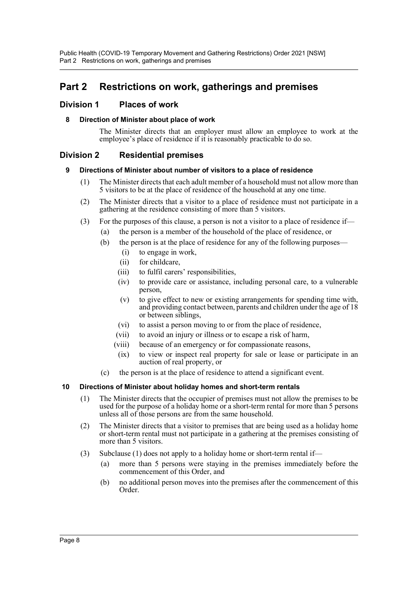## <span id="page-7-0"></span>**Part 2 Restrictions on work, gatherings and premises**

## <span id="page-7-2"></span><span id="page-7-1"></span>**Division 1 Places of work**

### **8 Direction of Minister about place of work**

The Minister directs that an employer must allow an employee to work at the employee's place of residence if it is reasonably practicable to do so.

## <span id="page-7-4"></span><span id="page-7-3"></span>**Division 2 Residential premises**

### **9 Directions of Minister about number of visitors to a place of residence**

- (1) The Minister directs that each adult member of a household must not allow more than 5 visitors to be at the place of residence of the household at any one time.
- (2) The Minister directs that a visitor to a place of residence must not participate in a gathering at the residence consisting of more than 5 visitors.
- (3) For the purposes of this clause, a person is not a visitor to a place of residence if—
	- (a) the person is a member of the household of the place of residence, or
	- (b) the person is at the place of residence for any of the following purposes—
		- (i) to engage in work,
		- (ii) for childcare,
		- (iii) to fulfil carers' responsibilities,
		- (iv) to provide care or assistance, including personal care, to a vulnerable person,
		- (v) to give effect to new or existing arrangements for spending time with, and providing contact between, parents and children under the age of 18 or between siblings,
		- (vi) to assist a person moving to or from the place of residence,
		- (vii) to avoid an injury or illness or to escape a risk of harm,
		- (viii) because of an emergency or for compassionate reasons,
		- (ix) to view or inspect real property for sale or lease or participate in an auction of real property, or
	- (c) the person is at the place of residence to attend a significant event.

#### <span id="page-7-5"></span>**10 Directions of Minister about holiday homes and short-term rentals**

- (1) The Minister directs that the occupier of premises must not allow the premises to be used for the purpose of a holiday home or a short-term rental for more than 5 persons unless all of those persons are from the same household.
- (2) The Minister directs that a visitor to premises that are being used as a holiday home or short-term rental must not participate in a gathering at the premises consisting of more than 5 visitors.
- (3) Subclause (1) does not apply to a holiday home or short-term rental if—
	- (a) more than 5 persons were staying in the premises immediately before the commencement of this Order, and
	- (b) no additional person moves into the premises after the commencement of this Order.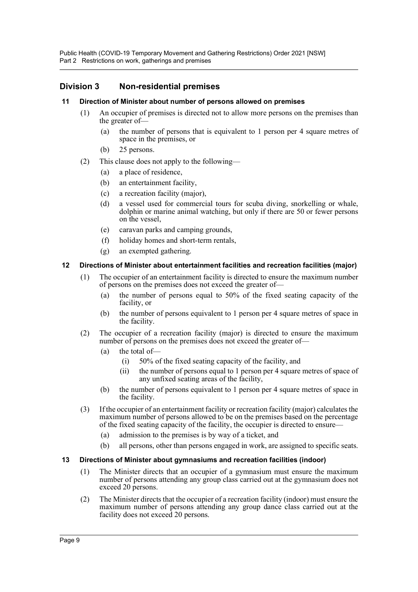Public Health (COVID-19 Temporary Movement and Gathering Restrictions) Order 2021 [NSW] Part 2 Restrictions on work, gatherings and premises

## <span id="page-8-0"></span>**Division 3 Non-residential premises**

#### <span id="page-8-1"></span>**11 Direction of Minister about number of persons allowed on premises**

- (1) An occupier of premises is directed not to allow more persons on the premises than the greater of—
	- (a) the number of persons that is equivalent to 1 person per 4 square metres of space in the premises, or
	- (b) 25 persons.
- (2) This clause does not apply to the following—
	- (a) a place of residence,
	- (b) an entertainment facility,
	- (c) a recreation facility (major),
	- (d) a vessel used for commercial tours for scuba diving, snorkelling or whale, dolphin or marine animal watching, but only if there are 50 or fewer persons on the vessel,
	- (e) caravan parks and camping grounds,
	- (f) holiday homes and short-term rentals,
	- (g) an exempted gathering.

#### <span id="page-8-2"></span>**12 Directions of Minister about entertainment facilities and recreation facilities (major)**

- (1) The occupier of an entertainment facility is directed to ensure the maximum number of persons on the premises does not exceed the greater of—
	- (a) the number of persons equal to 50% of the fixed seating capacity of the facility, or
	- (b) the number of persons equivalent to 1 person per 4 square metres of space in the facility.
- (2) The occupier of a recreation facility (major) is directed to ensure the maximum number of persons on the premises does not exceed the greater of—
	- (a) the total of—
		- (i) 50% of the fixed seating capacity of the facility, and
		- (ii) the number of persons equal to 1 person per 4 square metres of space of any unfixed seating areas of the facility,
	- (b) the number of persons equivalent to 1 person per 4 square metres of space in the facility.
- (3) If the occupier of an entertainment facility or recreation facility (major) calculates the maximum number of persons allowed to be on the premises based on the percentage of the fixed seating capacity of the facility, the occupier is directed to ensure—
	- (a) admission to the premises is by way of a ticket, and
	- (b) all persons, other than persons engaged in work, are assigned to specific seats.

#### <span id="page-8-3"></span>**13 Directions of Minister about gymnasiums and recreation facilities (indoor)**

- (1) The Minister directs that an occupier of a gymnasium must ensure the maximum number of persons attending any group class carried out at the gymnasium does not exceed 20 persons.
- (2) The Minister directs that the occupier of a recreation facility (indoor) must ensure the maximum number of persons attending any group dance class carried out at the facility does not exceed 20 persons.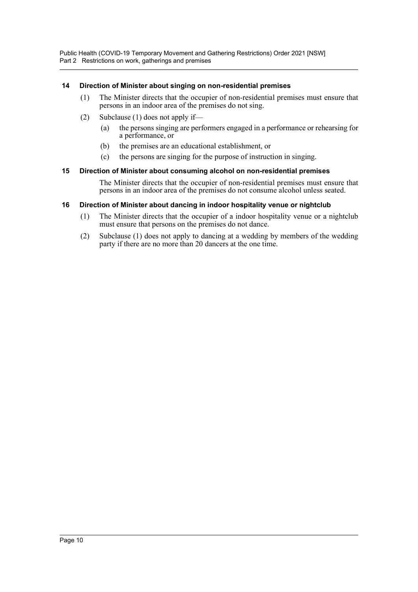Public Health (COVID-19 Temporary Movement and Gathering Restrictions) Order 2021 [NSW] Part 2 Restrictions on work, gatherings and premises

#### <span id="page-9-0"></span>**14 Direction of Minister about singing on non-residential premises**

- (1) The Minister directs that the occupier of non-residential premises must ensure that persons in an indoor area of the premises do not sing.
- (2) Subclause (1) does not apply if—
	- (a) the persons singing are performers engaged in a performance or rehearsing for a performance, or
	- (b) the premises are an educational establishment, or
	- (c) the persons are singing for the purpose of instruction in singing.

#### <span id="page-9-1"></span>**15 Direction of Minister about consuming alcohol on non-residential premises**

The Minister directs that the occupier of non-residential premises must ensure that persons in an indoor area of the premises do not consume alcohol unless seated.

#### <span id="page-9-2"></span>**16 Direction of Minister about dancing in indoor hospitality venue or nightclub**

- (1) The Minister directs that the occupier of a indoor hospitality venue or a nightclub must ensure that persons on the premises do not dance.
- (2) Subclause (1) does not apply to dancing at a wedding by members of the wedding party if there are no more than 20 dancers at the one time.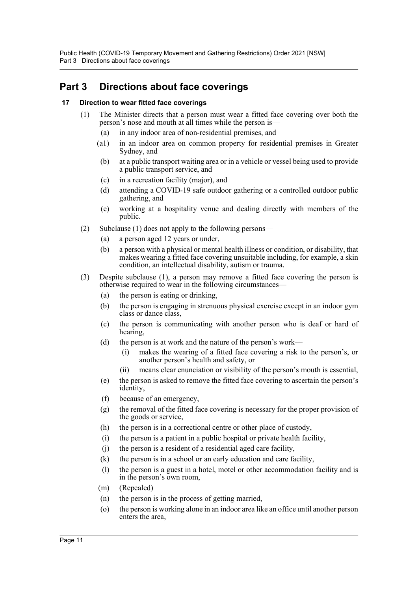Public Health (COVID-19 Temporary Movement and Gathering Restrictions) Order 2021 [NSW] Part 3 Directions about face coverings

## <span id="page-10-0"></span>**Part 3 Directions about face coverings**

#### <span id="page-10-1"></span>**17 Direction to wear fitted face coverings**

- (1) The Minister directs that a person must wear a fitted face covering over both the person's nose and mouth at all times while the person is—
	- (a) in any indoor area of non-residential premises, and
	- (a1) in an indoor area on common property for residential premises in Greater Sydney, and
	- (b) at a public transport waiting area or in a vehicle or vessel being used to provide a public transport service, and
	- (c) in a recreation facility (major), and
	- (d) attending a COVID-19 safe outdoor gathering or a controlled outdoor public gathering, and
	- (e) working at a hospitality venue and dealing directly with members of the public.
- (2) Subclause (1) does not apply to the following persons—
	- (a) a person aged 12 years or under,
	- (b) a person with a physical or mental health illness or condition, or disability, that makes wearing a fitted face covering unsuitable including, for example, a skin condition, an intellectual disability, autism or trauma.
- (3) Despite subclause (1), a person may remove a fitted face covering the person is otherwise required to wear in the following circumstances—
	- (a) the person is eating or drinking,
	- (b) the person is engaging in strenuous physical exercise except in an indoor gym class or dance class,
	- (c) the person is communicating with another person who is deaf or hard of hearing,
	- (d) the person is at work and the nature of the person's work—
		- (i) makes the wearing of a fitted face covering a risk to the person's, or another person's health and safety, or
		- (ii) means clear enunciation or visibility of the person's mouth is essential,
	- (e) the person is asked to remove the fitted face covering to ascertain the person's identity,
	- (f) because of an emergency,
	- (g) the removal of the fitted face covering is necessary for the proper provision of the goods or service,
	- (h) the person is in a correctional centre or other place of custody,
	- (i) the person is a patient in a public hospital or private health facility,
	- (j) the person is a resident of a residential aged care facility,
	- (k) the person is in a school or an early education and care facility,
	- (l) the person is a guest in a hotel, motel or other accommodation facility and is in the person's own room,
	- (m) (Repealed)
	- (n) the person is in the process of getting married,
	- (o) the person is working alone in an indoor area like an office until another person enters the area,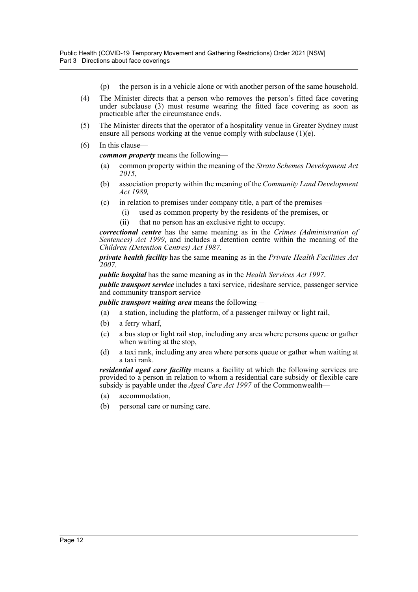- (p) the person is in a vehicle alone or with another person of the same household.
- (4) The Minister directs that a person who removes the person's fitted face covering under subclause (3) must resume wearing the fitted face covering as soon as practicable after the circumstance ends.
- (5) The Minister directs that the operator of a hospitality venue in Greater Sydney must ensure all persons working at the venue comply with subclause (1)(e).
- (6) In this clause—

*common property* means the following—

- (a) common property within the meaning of the *Strata Schemes Development Act 2015*,
- (b) association property within the meaning of the *Community Land Development Act 1989,*
- (c) in relation to premises under company title, a part of the premises—
	- (i) used as common property by the residents of the premises, or
	- (ii) that no person has an exclusive right to occupy.

*correctional centre* has the same meaning as in the *Crimes (Administration of Sentences) Act 1999*, and includes a detention centre within the meaning of the *Children (Detention Centres) Act 1987*.

*private health facility* has the same meaning as in the *Private Health Facilities Act 2007*.

*public hospital* has the same meaning as in the *Health Services Act 1997*.

*public transport service* includes a taxi service, rideshare service, passenger service and community transport service

*public transport waiting area* means the following—

- (a) a station, including the platform, of a passenger railway or light rail,
- (b) a ferry wharf,
- (c) a bus stop or light rail stop, including any area where persons queue or gather when waiting at the stop,
- (d) a taxi rank, including any area where persons queue or gather when waiting at a taxi rank.

*residential aged care facility* means a facility at which the following services are provided to a person in relation to whom a residential care subsidy or flexible care subsidy is payable under the *Aged Care Act 1997* of the Commonwealth—

- (a) accommodation,
- (b) personal care or nursing care.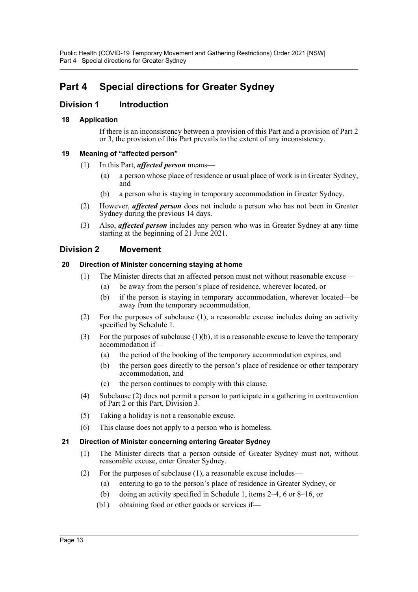## <span id="page-12-0"></span>**Part 4 Special directions for Greater Sydney**

## <span id="page-12-1"></span>**Division 1 Introduction**

## <span id="page-12-2"></span>**18 Application**

If there is an inconsistency between a provision of this Part and a provision of Part 2 or 3, the provision of this Part prevails to the extent of any inconsistency.

### <span id="page-12-3"></span>**19 Meaning of "affected person"**

- (1) In this Part, *affected person* means—
	- (a) a person whose place of residence or usual place of work is in Greater Sydney, and
	- (b) a person who is staying in temporary accommodation in Greater Sydney.
- (2) However, *affected person* does not include a person who has not been in Greater Sydney during the previous 14 days.
- (3) Also, *affected person* includes any person who was in Greater Sydney at any time starting at the beginning of 21 June 2021.

## <span id="page-12-4"></span>**Division 2 Movement**

### <span id="page-12-5"></span>**20 Direction of Minister concerning staying at home**

- (1) The Minister directs that an affected person must not without reasonable excuse—
	- (a) be away from the person's place of residence, wherever located, or
	- (b) if the person is staying in temporary accommodation, wherever located—be away from the temporary accommodation.
- (2) For the purposes of subclause (1), a reasonable excuse includes doing an activity specified by Schedule 1.
- (3) For the purposes of subclause  $(1)(b)$ , it is a reasonable excuse to leave the temporary accommodation if—
	- (a) the period of the booking of the temporary accommodation expires, and
	- (b) the person goes directly to the person's place of residence or other temporary accommodation, and
	- (c) the person continues to comply with this clause.
- (4) Subclause (2) does not permit a person to participate in a gathering in contravention of Part 2 or this Part, Division 3.
- (5) Taking a holiday is not a reasonable excuse.
- (6) This clause does not apply to a person who is homeless.

## <span id="page-12-6"></span>**21 Direction of Minister concerning entering Greater Sydney**

- (1) The Minister directs that a person outside of Greater Sydney must not, without reasonable excuse, enter Greater Sydney.
- (2) For the purposes of subclause (1), a reasonable excuse includes—
	- (a) entering to go to the person's place of residence in Greater Sydney, or
	- (b) doing an activity specified in Schedule 1, items 2–4, 6 or 8–16, or
	- (b1) obtaining food or other goods or services if—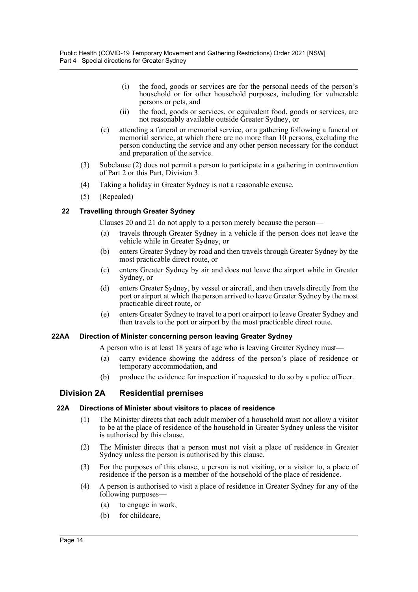- (i) the food, goods or services are for the personal needs of the person's household or for other household purposes, including for vulnerable persons or pets, and
- (ii) the food, goods or services, or equivalent food, goods or services, are not reasonably available outside Greater Sydney, or
- (c) attending a funeral or memorial service, or a gathering following a funeral or memorial service, at which there are no more than 10 persons, excluding the person conducting the service and any other person necessary for the conduct and preparation of the service.
- (3) Subclause (2) does not permit a person to participate in a gathering in contravention of Part 2 or this Part, Division 3.
- (4) Taking a holiday in Greater Sydney is not a reasonable excuse.
- (5) (Repealed)

### <span id="page-13-0"></span>**22 Travelling through Greater Sydney**

Clauses 20 and 21 do not apply to a person merely because the person—

- (a) travels through Greater Sydney in a vehicle if the person does not leave the vehicle while in Greater Sydney, or
- (b) enters Greater Sydney by road and then travels through Greater Sydney by the most practicable direct route, or
- (c) enters Greater Sydney by air and does not leave the airport while in Greater Sydney, or
- (d) enters Greater Sydney, by vessel or aircraft, and then travels directly from the port or airport at which the person arrived to leave Greater Sydney by the most practicable direct route, or
- (e) enters Greater Sydney to travel to a port or airport to leave Greater Sydney and then travels to the port or airport by the most practicable direct route.

#### <span id="page-13-1"></span>**22AA Direction of Minister concerning person leaving Greater Sydney**

A person who is at least 18 years of age who is leaving Greater Sydney must—

- (a) carry evidence showing the address of the person's place of residence or temporary accommodation, and
- (b) produce the evidence for inspection if requested to do so by a police officer.

## <span id="page-13-2"></span>**Division 2A Residential premises**

#### <span id="page-13-3"></span>**22A Directions of Minister about visitors to places of residence**

- (1) The Minister directs that each adult member of a household must not allow a visitor to be at the place of residence of the household in Greater Sydney unless the visitor is authorised by this clause.
- (2) The Minister directs that a person must not visit a place of residence in Greater Sydney unless the person is authorised by this clause.
- (3) For the purposes of this clause, a person is not visiting, or a visitor to, a place of residence if the person is a member of the household of the place of residence.
- (4) A person is authorised to visit a place of residence in Greater Sydney for any of the following purposes—
	- (a) to engage in work,
	- (b) for childcare,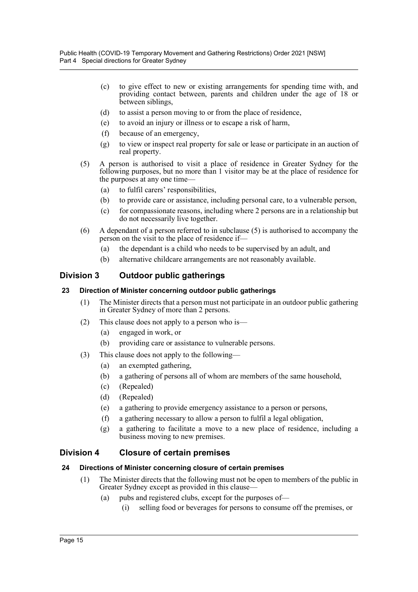- (c) to give effect to new or existing arrangements for spending time with, and providing contact between, parents and children under the age of 18 or between siblings,
- (d) to assist a person moving to or from the place of residence,
- (e) to avoid an injury or illness or to escape a risk of harm,
- (f) because of an emergency,
- (g) to view or inspect real property for sale or lease or participate in an auction of real property.
- (5) A person is authorised to visit a place of residence in Greater Sydney for the following purposes, but no more than 1 visitor may be at the place of residence for the purposes at any one time—
	- (a) to fulfil carers' responsibilities,
	- (b) to provide care or assistance, including personal care, to a vulnerable person,
	- (c) for compassionate reasons, including where 2 persons are in a relationship but do not necessarily live together.
- (6) A dependant of a person referred to in subclause (5) is authorised to accompany the person on the visit to the place of residence if—
	- (a) the dependant is a child who needs to be supervised by an adult, and
	- (b) alternative childcare arrangements are not reasonably available.

## <span id="page-14-0"></span>**Division 3 Outdoor public gatherings**

### <span id="page-14-1"></span>**23 Direction of Minister concerning outdoor public gatherings**

- (1) The Minister directs that a person must not participate in an outdoor public gathering in Greater Sydney of more than 2 persons.
- (2) This clause does not apply to a person who is—
	- (a) engaged in work, or
	- (b) providing care or assistance to vulnerable persons.
- (3) This clause does not apply to the following—
	- (a) an exempted gathering,
	- (b) a gathering of persons all of whom are members of the same household,
	- (c) (Repealed)
	- (d) (Repealed)
	- (e) a gathering to provide emergency assistance to a person or persons,
	- (f) a gathering necessary to allow a person to fulfil a legal obligation,
	- (g) a gathering to facilitate a move to a new place of residence, including a business moving to new premises.

## <span id="page-14-2"></span>**Division 4 Closure of certain premises**

## <span id="page-14-3"></span>**24 Directions of Minister concerning closure of certain premises**

- (1) The Minister directs that the following must not be open to members of the public in Greater Sydney except as provided in this clause—
	- (a) pubs and registered clubs, except for the purposes of—
		- (i) selling food or beverages for persons to consume off the premises, or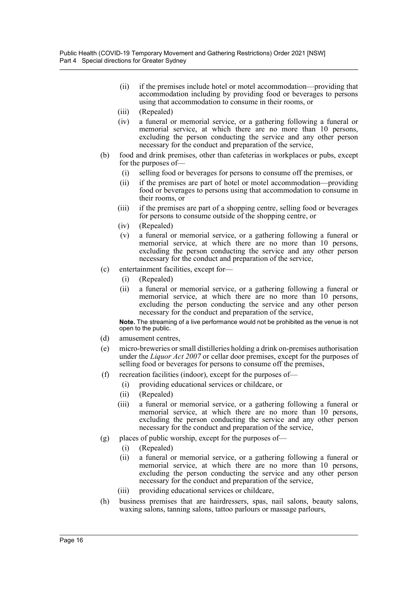- (ii) if the premises include hotel or motel accommodation—providing that accommodation including by providing food or beverages to persons using that accommodation to consume in their rooms, or
- (iii) (Repealed)
- (iv) a funeral or memorial service, or a gathering following a funeral or memorial service, at which there are no more than 10 persons, excluding the person conducting the service and any other person necessary for the conduct and preparation of the service,
- (b) food and drink premises, other than cafeterias in workplaces or pubs, except for the purposes of—
	- (i) selling food or beverages for persons to consume off the premises, or
	- (ii) if the premises are part of hotel or motel accommodation—providing food or beverages to persons using that accommodation to consume in their rooms, or
	- (iii) if the premises are part of a shopping centre, selling food or beverages for persons to consume outside of the shopping centre, or
	- (iv) (Repealed)
	- (v) a funeral or memorial service, or a gathering following a funeral or memorial service, at which there are no more than 10 persons, excluding the person conducting the service and any other person necessary for the conduct and preparation of the service,
- (c) entertainment facilities, except for—
	- (i) (Repealed)
	- (ii) a funeral or memorial service, or a gathering following a funeral or memorial service, at which there are no more than 10 persons, excluding the person conducting the service and any other person necessary for the conduct and preparation of the service,

**Note.** The streaming of a live performance would not be prohibited as the venue is not open to the public.

- (d) amusement centres,
- (e) micro-breweries or small distilleries holding a drink on-premises authorisation under the *Liquor Act 2007* or cellar door premises, except for the purposes of selling food or beverages for persons to consume off the premises,
- (f) recreation facilities (indoor), except for the purposes of—
	- (i) providing educational services or childcare, or
	- (ii) (Repealed)
	- (iii) a funeral or memorial service, or a gathering following a funeral or memorial service, at which there are no more than 10 persons, excluding the person conducting the service and any other person necessary for the conduct and preparation of the service,
- (g) places of public worship, except for the purposes of—
	- (i) (Repealed)
	- (ii) a funeral or memorial service, or a gathering following a funeral or memorial service, at which there are no more than 10 persons, excluding the person conducting the service and any other person necessary for the conduct and preparation of the service,
	- (iii) providing educational services or childcare,
- (h) business premises that are hairdressers, spas, nail salons, beauty salons, waxing salons, tanning salons, tattoo parlours or massage parlours,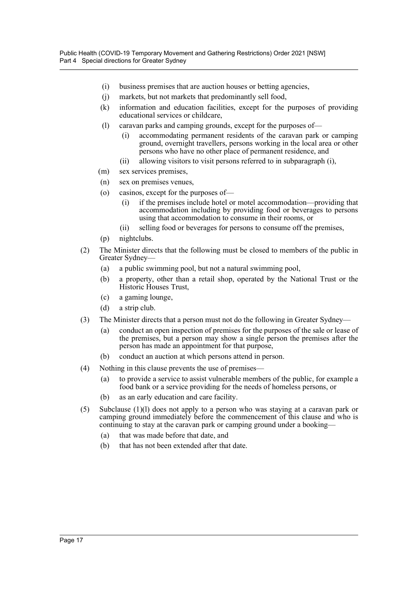- (i) business premises that are auction houses or betting agencies,
- (j) markets, but not markets that predominantly sell food,
- (k) information and education facilities, except for the purposes of providing educational services or childcare,
- (l) caravan parks and camping grounds, except for the purposes of
	- accommodating permanent residents of the caravan park or camping ground, overnight travellers, persons working in the local area or other persons who have no other place of permanent residence, and
	- (ii) allowing visitors to visit persons referred to in subparagraph (i),
- (m) sex services premises,
- (n) sex on premises venues,
- (o) casinos, except for the purposes of—
	- (i) if the premises include hotel or motel accommodation—providing that accommodation including by providing food or beverages to persons using that accommodation to consume in their rooms, or
	- (ii) selling food or beverages for persons to consume off the premises,
- (p) nightclubs.
- (2) The Minister directs that the following must be closed to members of the public in Greater Sydney—
	- (a) a public swimming pool, but not a natural swimming pool,
	- (b) a property, other than a retail shop, operated by the National Trust or the Historic Houses Trust,
	- (c) a gaming lounge,
	- (d) a strip club.
- (3) The Minister directs that a person must not do the following in Greater Sydney—
	- (a) conduct an open inspection of premises for the purposes of the sale or lease of the premises, but a person may show a single person the premises after the person has made an appointment for that purpose,
	- (b) conduct an auction at which persons attend in person.
- (4) Nothing in this clause prevents the use of premises—
	- (a) to provide a service to assist vulnerable members of the public, for example a food bank or a service providing for the needs of homeless persons, or
	- (b) as an early education and care facility.
- (5) Subclause (1)(l) does not apply to a person who was staying at a caravan park or camping ground immediately before the commencement of this clause and who is continuing to stay at the caravan park or camping ground under a booking—
	- (a) that was made before that date, and
	- (b) that has not been extended after that date.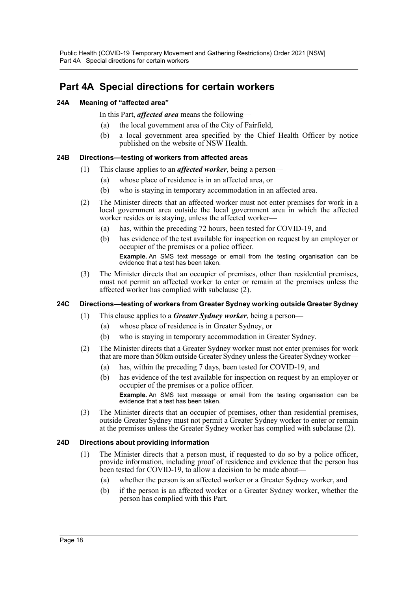Public Health (COVID-19 Temporary Movement and Gathering Restrictions) Order 2021 [NSW] Part 4A Special directions for certain workers

## <span id="page-17-0"></span>**Part 4A Special directions for certain workers**

### <span id="page-17-1"></span>**24A Meaning of "affected area"**

In this Part, *affected area* means the following—

- (a) the local government area of the City of Fairfield,
- (b) a local government area specified by the Chief Health Officer by notice published on the website of NSW Health.

### <span id="page-17-2"></span>**24B Directions—testing of workers from affected areas**

- (1) This clause applies to an *affected worker*, being a person—
	- (a) whose place of residence is in an affected area, or
	- (b) who is staying in temporary accommodation in an affected area.
- (2) The Minister directs that an affected worker must not enter premises for work in a local government area outside the local government area in which the affected worker resides or is staying, unless the affected worker—
	- (a) has, within the preceding 72 hours, been tested for COVID-19, and
	- (b) has evidence of the test available for inspection on request by an employer or occupier of the premises or a police officer.

**Example.** An SMS text message or email from the testing organisation can be evidence that a test has been taken.

(3) The Minister directs that an occupier of premises, other than residential premises, must not permit an affected worker to enter or remain at the premises unless the affected worker has complied with subclause (2).

## <span id="page-17-3"></span>**24C Directions—testing of workers from Greater Sydney working outside Greater Sydney**

- (1) This clause applies to a *Greater Sydney worker*, being a person—
	- (a) whose place of residence is in Greater Sydney, or
	- (b) who is staying in temporary accommodation in Greater Sydney.
- (2) The Minister directs that a Greater Sydney worker must not enter premises for work that are more than 50km outside Greater Sydney unless the Greater Sydney worker—
	- (a) has, within the preceding 7 days, been tested for COVID-19, and
	- (b) has evidence of the test available for inspection on request by an employer or occupier of the premises or a police officer.

**Example.** An SMS text message or email from the testing organisation can be evidence that a test has been taken.

(3) The Minister directs that an occupier of premises, other than residential premises, outside Greater Sydney must not permit a Greater Sydney worker to enter or remain at the premises unless the Greater Sydney worker has complied with subclause (2).

#### <span id="page-17-4"></span>**24D Directions about providing information**

- (1) The Minister directs that a person must, if requested to do so by a police officer, provide information, including proof of residence and evidence that the person has been tested for COVID-19, to allow a decision to be made about-
	- (a) whether the person is an affected worker or a Greater Sydney worker, and
	- (b) if the person is an affected worker or a Greater Sydney worker, whether the person has complied with this Part.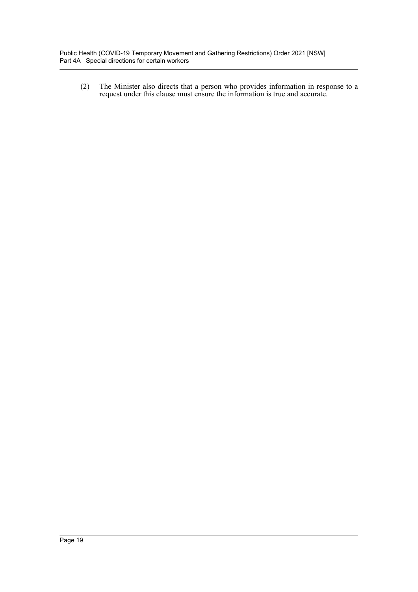(2) The Minister also directs that a person who provides information in response to a request under this clause must ensure the information is true and accurate.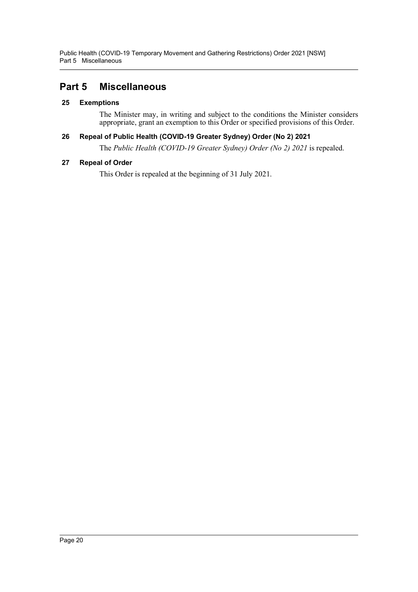Public Health (COVID-19 Temporary Movement and Gathering Restrictions) Order 2021 [NSW] Part 5 Miscellaneous

## <span id="page-19-0"></span>**Part 5 Miscellaneous**

### <span id="page-19-1"></span>**25 Exemptions**

The Minister may, in writing and subject to the conditions the Minister considers appropriate, grant an exemption to this Order or specified provisions of this Order.

### <span id="page-19-2"></span>**26 Repeal of Public Health (COVID-19 Greater Sydney) Order (No 2) 2021**

The *Public Health (COVID-19 Greater Sydney) Order (No 2) 2021* is repealed.

### <span id="page-19-3"></span>**27 Repeal of Order**

This Order is repealed at the beginning of 31 July 2021.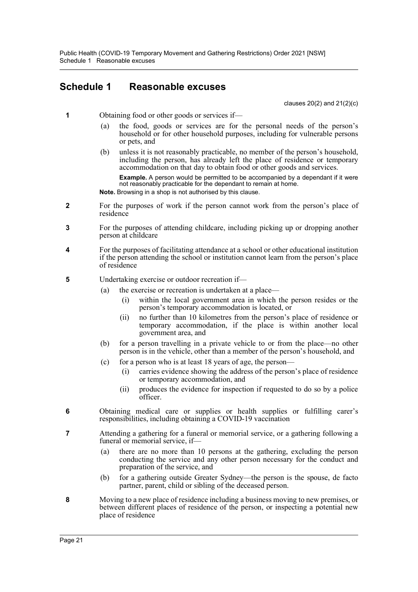Public Health (COVID-19 Temporary Movement and Gathering Restrictions) Order 2021 [NSW] Schedule 1 Reasonable excuses

## <span id="page-20-0"></span>**Schedule 1 Reasonable excuses**

clauses 20(2) and 21(2)(c)

- **1** Obtaining food or other goods or services if—
	- (a) the food, goods or services are for the personal needs of the person's household or for other household purposes, including for vulnerable persons or pets, and
	- (b) unless it is not reasonably practicable, no member of the person's household, including the person, has already left the place of residence or temporary accommodation on that day to obtain food or other goods and services.

**Example.** A person would be permitted to be accompanied by a dependant if it were not reasonably practicable for the dependant to remain at home.

- **Note.** Browsing in a shop is not authorised by this clause.
- **2** For the purposes of work if the person cannot work from the person's place of residence
- **3** For the purposes of attending childcare, including picking up or dropping another person at childcare
- **4** For the purposes of facilitating attendance at a school or other educational institution if the person attending the school or institution cannot learn from the person's place of residence
- **5** Undertaking exercise or outdoor recreation if—
	- (a) the exercise or recreation is undertaken at a place—
		- (i) within the local government area in which the person resides or the person's temporary accommodation is located, or
		- (ii) no further than 10 kilometres from the person's place of residence or temporary accommodation, if the place is within another local government area, and
	- (b) for a person travelling in a private vehicle to or from the place—no other person is in the vehicle, other than a member of the person's household, and
	- (c) for a person who is at least  $18$  years of age, the person-
		- (i) carries evidence showing the address of the person's place of residence or temporary accommodation, and
		- (ii) produces the evidence for inspection if requested to do so by a police officer.
- **6** Obtaining medical care or supplies or health supplies or fulfilling carer's responsibilities, including obtaining a COVID-19 vaccination
- **7** Attending a gathering for a funeral or memorial service, or a gathering following a funeral or memorial service, if—
	- (a) there are no more than 10 persons at the gathering, excluding the person conducting the service and any other person necessary for the conduct and preparation of the service, and
	- (b) for a gathering outside Greater Sydney—the person is the spouse, de facto partner, parent, child or sibling of the deceased person.
- **8** Moving to a new place of residence including a business moving to new premises, or between different places of residence of the person, or inspecting a potential new place of residence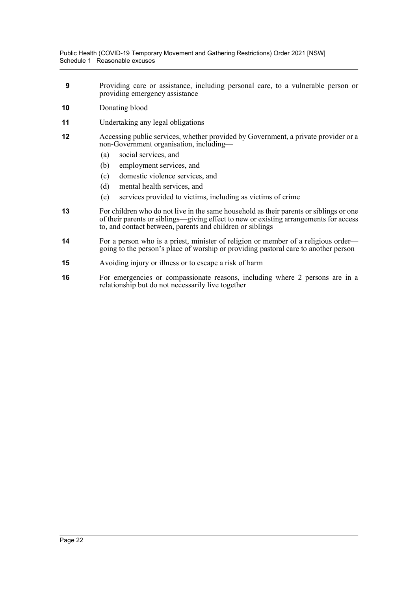- **9** Providing care or assistance, including personal care, to a vulnerable person or providing emergency assistance
- **10** Donating blood
- **11** Undertaking any legal obligations
- **12** Accessing public services, whether provided by Government, a private provider or a non-Government organisation, including—
	- (a) social services, and
	- (b) employment services, and
	- (c) domestic violence services, and
	- (d) mental health services, and
	- (e) services provided to victims, including as victims of crime
- **13** For children who do not live in the same household as their parents or siblings or one of their parents or siblings—giving effect to new or existing arrangements for access to, and contact between, parents and children or siblings
- **14** For a person who is a priest, minister of religion or member of a religious order going to the person's place of worship or providing pastoral care to another person
- **15** Avoiding injury or illness or to escape a risk of harm
- **16** For emergencies or compassionate reasons, including where 2 persons are in a relationship but do not necessarily live together